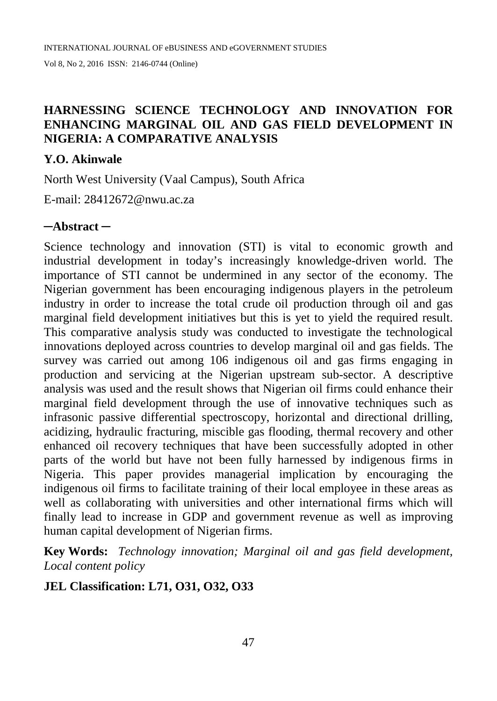# **HARNESSING SCIENCE TECHNOLOGY AND INNOVATION FOR ENHANCING MARGINAL OIL AND GAS FIELD DEVELOPMENT IN NIGERIA: A COMPARATIVE ANALYSIS**

### **Y.O. Akinwale**

North West University (Vaal Campus), South Africa

E-mail: [28412672@nwu.ac.za](mailto:28412672@nwu.ac.za)

## **─Abstract ─**

Science technology and innovation (STI) is vital to economic growth and industrial development in today's increasingly knowledge-driven world. The importance of STI cannot be undermined in any sector of the economy. The Nigerian government has been encouraging indigenous players in the petroleum industry in order to increase the total crude oil production through oil and gas marginal field development initiatives but this is yet to yield the required result. This comparative analysis study was conducted to investigate the technological innovations deployed across countries to develop marginal oil and gas fields. The survey was carried out among 106 indigenous oil and gas firms engaging in production and servicing at the Nigerian upstream sub-sector. A descriptive analysis was used and the result shows that Nigerian oil firms could enhance their marginal field development through the use of innovative techniques such as infrasonic passive differential spectroscopy, horizontal and directional drilling, acidizing, hydraulic fracturing, miscible gas flooding, thermal recovery and other enhanced oil recovery techniques that have been successfully adopted in other parts of the world but have not been fully harnessed by indigenous firms in Nigeria. This paper provides managerial implication by encouraging the indigenous oil firms to facilitate training of their local employee in these areas as well as collaborating with universities and other international firms which will finally lead to increase in GDP and government revenue as well as improving human capital development of Nigerian firms.

**Key Words:** *Technology innovation; Marginal oil and gas field development, Local content policy*

## **JEL Classification: L71, O31, O32, O33**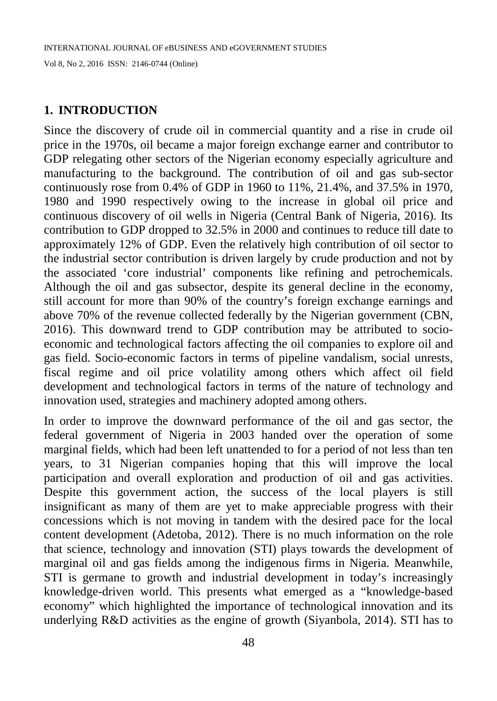### **1. INTRODUCTION**

Since the discovery of crude oil in commercial quantity and a rise in crude oil price in the 1970s, oil became a major foreign exchange earner and contributor to GDP relegating other sectors of the Nigerian economy especially agriculture and manufacturing to the background. The contribution of oil and gas sub-sector continuously rose from 0.4% of GDP in 1960 to 11%, 21.4%, and 37.5% in 1970, 1980 and 1990 respectively owing to the increase in global oil price and continuous discovery of oil wells in Nigeria (Central Bank of Nigeria, 2016). Its contribution to GDP dropped to 32.5% in 2000 and continues to reduce till date to approximately 12% of GDP. Even the relatively high contribution of oil sector to the industrial sector contribution is driven largely by crude production and not by the associated 'core industrial' components like refining and petrochemicals. Although the oil and gas subsector, despite its general decline in the economy, still account for more than 90% of the country's foreign exchange earnings and above 70% of the revenue collected federally by the Nigerian government (CBN, 2016). This downward trend to GDP contribution may be attributed to socioeconomic and technological factors affecting the oil companies to explore oil and gas field. Socio-economic factors in terms of pipeline vandalism, social unrests, fiscal regime and oil price volatility among others which affect oil field development and technological factors in terms of the nature of technology and innovation used, strategies and machinery adopted among others.

In order to improve the downward performance of the oil and gas sector, the federal government of Nigeria in 2003 handed over the operation of some marginal fields, which had been left unattended to for a period of not less than ten years, to 31 Nigerian companies hoping that this will improve the local participation and overall exploration and production of oil and gas activities. Despite this government action, the success of the local players is still insignificant as many of them are yet to make appreciable progress with their concessions which is not moving in tandem with the desired pace for the local content development (Adetoba, 2012). There is no much information on the role that science, technology and innovation (STI) plays towards the development of marginal oil and gas fields among the indigenous firms in Nigeria. Meanwhile, STI is germane to growth and industrial development in today's increasingly knowledge-driven world. This presents what emerged as a "knowledge-based economy" which highlighted the importance of technological innovation and its underlying R&D activities as the engine of growth (Siyanbola, 2014). STI has to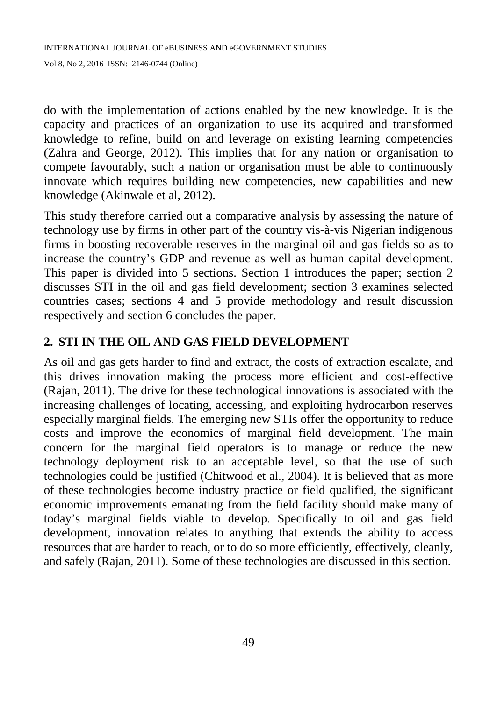do with the implementation of actions enabled by the new knowledge. It is the capacity and practices of an organization to use its acquired and transformed knowledge to refine, build on and leverage on existing learning competencies (Zahra and George, 2012). This implies that for any nation or organisation to compete favourably, such a nation or organisation must be able to continuously innovate which requires building new competencies, new capabilities and new knowledge (Akinwale et al, 2012).

This study therefore carried out a comparative analysis by assessing the nature of technology use by firms in other part of the country vis-à-vis Nigerian indigenous firms in boosting recoverable reserves in the marginal oil and gas fields so as to increase the country's GDP and revenue as well as human capital development. This paper is divided into 5 sections. Section 1 introduces the paper; section 2 discusses STI in the oil and gas field development; section 3 examines selected countries cases; sections 4 and 5 provide methodology and result discussion respectively and section 6 concludes the paper.

# **2. STI IN THE OIL AND GAS FIELD DEVELOPMENT**

As oil and gas gets harder to find and extract, the costs of extraction escalate, and this drives innovation making the process more efficient and cost-effective (Rajan, 2011). The drive for these technological innovations is associated with the increasing challenges of locating, accessing, and exploiting hydrocarbon reserves especially marginal fields. The emerging new STIs offer the opportunity to reduce costs and improve the economics of marginal field development. The main concern for the marginal field operators is to manage or reduce the new technology deployment risk to an acceptable level, so that the use of such technologies could be justified (Chitwood et al., 2004). It is believed that as more of these technologies become industry practice or field qualified, the significant economic improvements emanating from the field facility should make many of today's marginal fields viable to develop. Specifically to oil and gas field development, innovation relates to anything that extends the ability to access resources that are harder to reach, or to do so more efficiently, effectively, cleanly, and safely (Rajan, 2011). Some of these technologies are discussed in this section.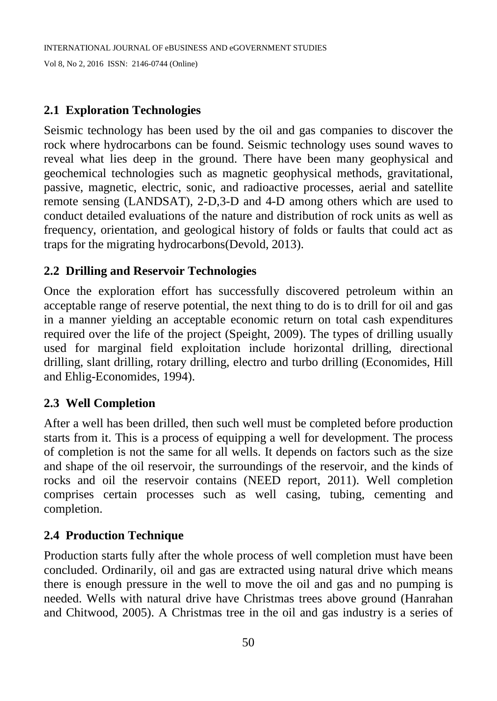# **2.1 Exploration Technologies**

Seismic technology has been used by the oil and gas companies to discover the rock where hydrocarbons can be found. Seismic technology uses sound waves to reveal what lies deep in the ground. There have been many geophysical and geochemical technologies such as magnetic geophysical methods, gravitational, passive, magnetic, electric, sonic, and radioactive processes, aerial and satellite remote sensing (LANDSAT), 2-D,3-D and 4-D among others which are used to conduct detailed evaluations of the nature and distribution of rock units as well as frequency, orientation, and geological history of folds or faults that could act as traps for the migrating hydrocarbons(Devold, 2013).

# **2.2 Drilling and Reservoir Technologies**

Once the exploration effort has successfully discovered petroleum within an acceptable range of reserve potential, the next thing to do is to drill for oil and gas in a manner yielding an acceptable economic return on total cash expenditures required over the life of the project (Speight, 2009). The types of drilling usually used for marginal field exploitation include horizontal drilling, directional drilling, slant drilling, rotary drilling, electro and turbo drilling (Economides, Hill and Ehlig-Economides, 1994).

## **2.3 Well Completion**

After a well has been drilled, then such well must be completed before production starts from it. This is a process of equipping a well for development. The process of completion is not the same for all wells. It depends on factors such as the size and shape of the oil reservoir, the surroundings of the reservoir, and the kinds of rocks and oil the reservoir contains (NEED report, 2011). Well completion comprises certain processes such as well casing, tubing, cementing and completion.

## **2.4 Production Technique**

Production starts fully after the whole process of well completion must have been concluded. Ordinarily, oil and gas are extracted using natural drive which means there is enough pressure in the well to move the oil and gas and no pumping is needed. Wells with natural drive have Christmas trees above ground (Hanrahan and Chitwood, 2005). A Christmas tree in the oil and gas industry is a series of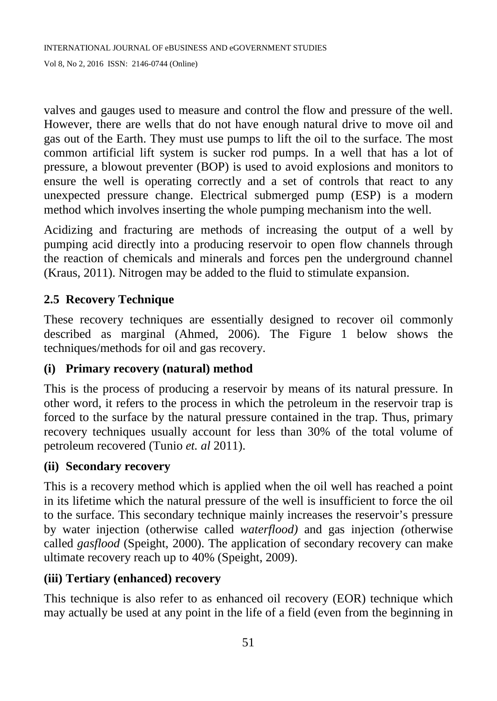valves and gauges used to measure and control the flow and pressure of the well. However, there are wells that do not have enough natural drive to move oil and gas out of the Earth. They must use pumps to lift the oil to the surface. The most common artificial lift system is sucker rod pumps. In a well that has a lot of pressure, a blowout preventer (BOP) is used to avoid explosions and monitors to ensure the well is operating correctly and a set of controls that react to any unexpected pressure change. Electrical submerged pump (ESP) is a modern method which involves inserting the whole pumping mechanism into the well.

Acidizing and fracturing are methods of increasing the output of a well by pumping acid directly into a producing reservoir to open flow channels through the reaction of chemicals and minerals and forces pen the underground channel (Kraus, 2011). Nitrogen may be added to the fluid to stimulate expansion.

# **2.5 Recovery Technique**

These recovery techniques are essentially designed to recover oil commonly described as marginal (Ahmed, 2006). The Figure 1 below shows the techniques/methods for oil and gas recovery.

## **(i) Primary recovery (natural) method**

This is the process of producing a reservoir by means of its natural pressure. In other word, it refers to the process in which the petroleum in the reservoir trap is forced to the surface by the natural pressure contained in the trap. Thus, primary recovery techniques usually account for less than 30% of the total volume of petroleum recovered (Tunio *et. al* 2011).

#### **(ii) Secondary recovery**

This is a recovery method which is applied when the oil well has reached a point in its lifetime which the natural pressure of the well is insufficient to force the oil to the surface. This secondary technique mainly increases the reservoir's pressure by water injection (otherwise called *waterflood)* and gas injection *(*otherwise called *gasflood* (Speight, 2000). The application of secondary recovery can make ultimate recovery reach up to 40% (Speight, 2009).

#### **(iii) Tertiary (enhanced) recovery**

This technique is also refer to as enhanced oil recovery (EOR) technique which may actually be used at any point in the life of a field (even from the beginning in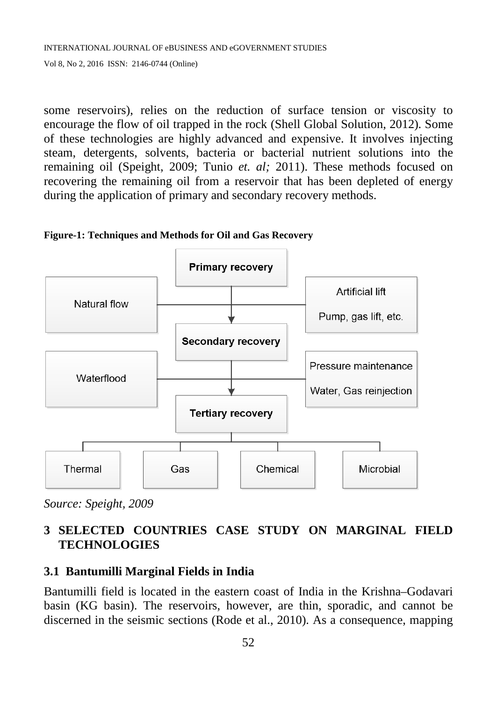some reservoirs), relies on the reduction of surface tension or viscosity to encourage the flow of oil trapped in the rock (Shell Global Solution, 2012). Some of these technologies are highly advanced and expensive. It involves injecting steam, detergents, solvents, bacteria or bacterial nutrient solutions into the remaining oil (Speight, 2009; Tunio *et. al;* 2011). These methods focused on recovering the remaining oil from a reservoir that has been depleted of energy during the application of primary and secondary recovery methods.



**Figure-1: Techniques and Methods for Oil and Gas Recovery**

# **3 SELECTED COUNTRIES CASE STUDY ON MARGINAL FIELD TECHNOLOGIES**

# **3.1 Bantumilli Marginal Fields in India**

Bantumilli field is located in the eastern coast of India in the Krishna–Godavari basin (KG basin). The reservoirs, however, are thin, sporadic, and cannot be discerned in the seismic sections (Rode et al., 2010). As a consequence, mapping

*Source: Speight, 2009*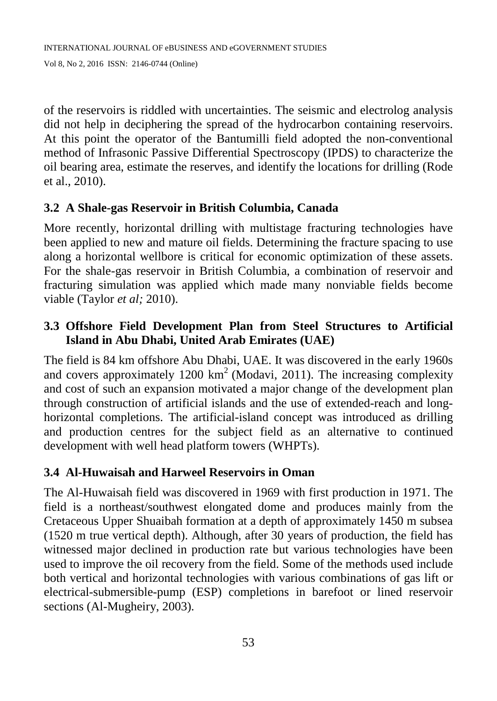of the reservoirs is riddled with uncertainties. The seismic and electrolog analysis did not help in deciphering the spread of the hydrocarbon containing reservoirs. At this point the operator of the Bantumilli field adopted the non-conventional method of Infrasonic Passive Differential Spectroscopy (IPDS) to characterize the oil bearing area, estimate the reserves, and identify the locations for drilling (Rode et al., 2010).

## **3.2 A Shale-gas Reservoir in British Columbia, Canada**

More recently, horizontal drilling with multistage fracturing technologies have been applied to new and mature oil fields. Determining the fracture spacing to use along a horizontal wellbore is critical for economic optimization of these assets. For the shale-gas reservoir in British Columbia, a combination of reservoir and fracturing simulation was applied which made many nonviable fields become viable (Taylor *et al;* 2010).

# **3.3 Offshore Field Development Plan from Steel Structures to Artificial Island in Abu Dhabi, United Arab Emirates (UAE)**

The field is 84 km offshore Abu Dhabi, UAE. It was discovered in the early 1960s and covers approximately  $1200 \text{ km}^2$  (Modavi, 2011). The increasing complexity and cost of such an expansion motivated a major change of the development plan through construction of artificial islands and the use of extended-reach and longhorizontal completions. The artificial-island concept was introduced as drilling and production centres for the subject field as an alternative to continued development with well head platform towers (WHPTs).

## **3.4 Al-Huwaisah and Harweel Reservoirs in Oman**

The Al-Huwaisah field was discovered in 1969 with first production in 1971. The field is a northeast/southwest elongated dome and produces mainly from the Cretaceous Upper Shuaibah formation at a depth of approximately 1450 m subsea (1520 m true vertical depth). Although, after 30 years of production, the field has witnessed major declined in production rate but various technologies have been used to improve the oil recovery from the field. Some of the methods used include both vertical and horizontal technologies with various combinations of gas lift or electrical-submersible-pump (ESP) completions in barefoot or lined reservoir sections (Al-Mugheiry, 2003).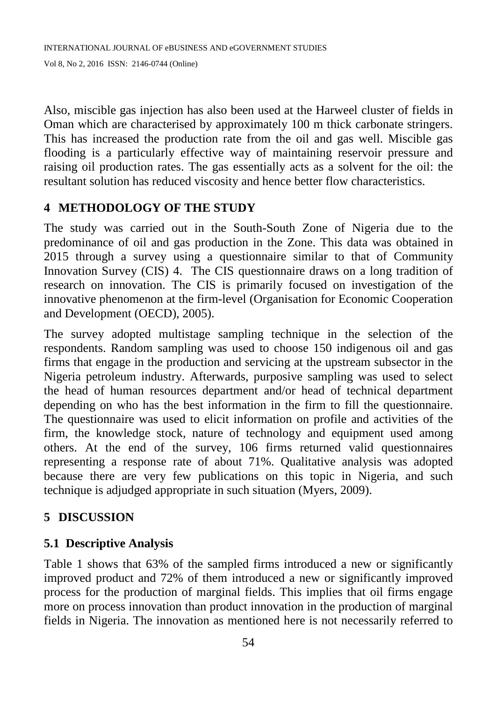Also, miscible gas injection has also been used at the Harweel cluster of fields in Oman which are characterised by approximately 100 m thick carbonate stringers. This has increased the production rate from the oil and gas well. Miscible gas flooding is a particularly effective way of maintaining reservoir pressure and raising oil production rates. The gas essentially acts as a solvent for the oil: the resultant solution has reduced viscosity and hence better flow characteristics.

## **4 METHODOLOGY OF THE STUDY**

The study was carried out in the South-South Zone of Nigeria due to the predominance of oil and gas production in the Zone. This data was obtained in 2015 through a survey using a questionnaire similar to that of Community Innovation Survey (CIS) 4. The CIS questionnaire draws on a long tradition of research on innovation. The CIS is primarily focused on investigation of the innovative phenomenon at the firm-level (Organisation for Economic Cooperation and Development (OECD), 2005).

The survey adopted multistage sampling technique in the selection of the respondents. Random sampling was used to choose 150 indigenous oil and gas firms that engage in the production and servicing at the upstream subsector in the Nigeria petroleum industry. Afterwards, purposive sampling was used to select the head of human resources department and/or head of technical department depending on who has the best information in the firm to fill the questionnaire. The questionnaire was used to elicit information on profile and activities of the firm, the knowledge stock, nature of technology and equipment used among others. At the end of the survey, 106 firms returned valid questionnaires representing a response rate of about 71%. Qualitative analysis was adopted because there are very few publications on this topic in Nigeria, and such technique is adjudged appropriate in such situation (Myers, 2009).

## **5 DISCUSSION**

#### **5.1 Descriptive Analysis**

Table 1 shows that 63% of the sampled firms introduced a new or significantly improved product and 72% of them introduced a new or significantly improved process for the production of marginal fields. This implies that oil firms engage more on process innovation than product innovation in the production of marginal fields in Nigeria. The innovation as mentioned here is not necessarily referred to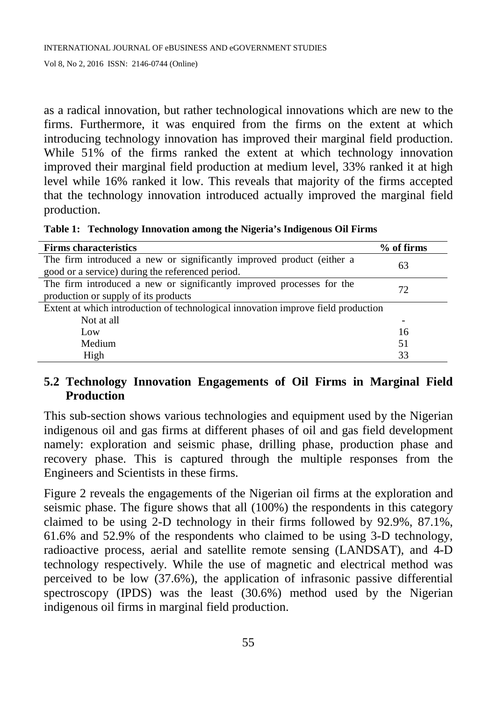as a radical innovation, but rather technological innovations which are new to the firms. Furthermore, it was enquired from the firms on the extent at which introducing technology innovation has improved their marginal field production. While 51% of the firms ranked the extent at which technology innovation improved their marginal field production at medium level, 33% ranked it at high level while 16% ranked it low. This reveals that majority of the firms accepted that the technology innovation introduced actually improved the marginal field production.

**Table 1: Technology Innovation among the Nigeria's Indigenous Oil Firms**

| <b>Firms characteristics</b>                                                      | % of firms |
|-----------------------------------------------------------------------------------|------------|
| The firm introduced a new or significantly improved product (either a             | 63         |
| good or a service) during the referenced period.                                  |            |
| The firm introduced a new or significantly improved processes for the             | 72         |
| production or supply of its products                                              |            |
| Extent at which introduction of technological innovation improve field production |            |
| Not at all                                                                        | -          |
| Low                                                                               | 16         |
| Medium                                                                            | 51         |
| High                                                                              | 33         |

## **5.2 Technology Innovation Engagements of Oil Firms in Marginal Field Production**

This sub-section shows various technologies and equipment used by the Nigerian indigenous oil and gas firms at different phases of oil and gas field development namely: exploration and seismic phase, drilling phase, production phase and recovery phase. This is captured through the multiple responses from the Engineers and Scientists in these firms.

Figure 2 reveals the engagements of the Nigerian oil firms at the exploration and seismic phase. The figure shows that all (100%) the respondents in this category claimed to be using 2-D technology in their firms followed by 92.9%, 87.1%, 61.6% and 52.9% of the respondents who claimed to be using 3-D technology, radioactive process, aerial and satellite remote sensing (LANDSAT), and 4-D technology respectively. While the use of magnetic and electrical method was perceived to be low (37.6%), the application of infrasonic passive differential spectroscopy (IPDS) was the least (30.6%) method used by the Nigerian indigenous oil firms in marginal field production.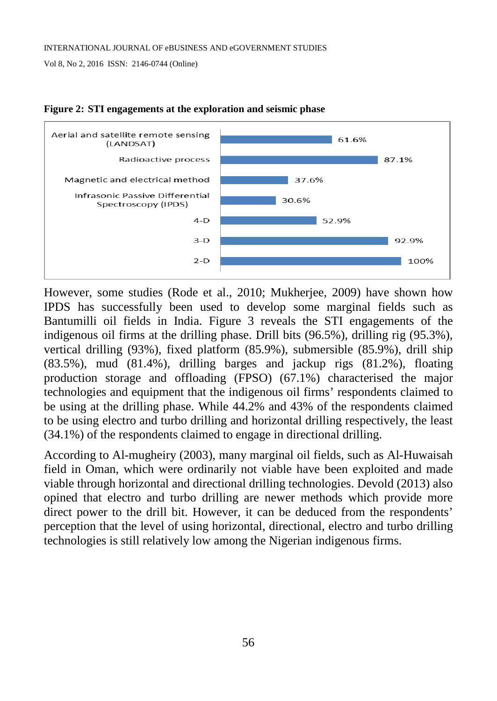

**Figure 2: STI engagements at the exploration and seismic phase**

However, some studies (Rode et al., 2010; Mukherjee, 2009) have shown how IPDS has successfully been used to develop some marginal fields such as Bantumilli oil fields in India. Figure 3 reveals the STI engagements of the indigenous oil firms at the drilling phase. Drill bits (96.5%), drilling rig (95.3%), vertical drilling (93%), fixed platform (85.9%), submersible (85.9%), drill ship (83.5%), mud (81.4%), drilling barges and jackup rigs (81.2%), floating production storage and offloading (FPSO) (67.1%) characterised the major technologies and equipment that the indigenous oil firms' respondents claimed to be using at the drilling phase. While 44.2% and 43% of the respondents claimed to be using electro and turbo drilling and horizontal drilling respectively, the least (34.1%) of the respondents claimed to engage in directional drilling.

According to Al-mugheiry (2003), many marginal oil fields, such as Al-Huwaisah field in Oman, which were ordinarily not viable have been exploited and made viable through horizontal and directional drilling technologies. Devold (2013) also opined that electro and turbo drilling are newer methods which provide more direct power to the drill bit. However, it can be deduced from the respondents' perception that the level of using horizontal, directional, electro and turbo drilling technologies is still relatively low among the Nigerian indigenous firms.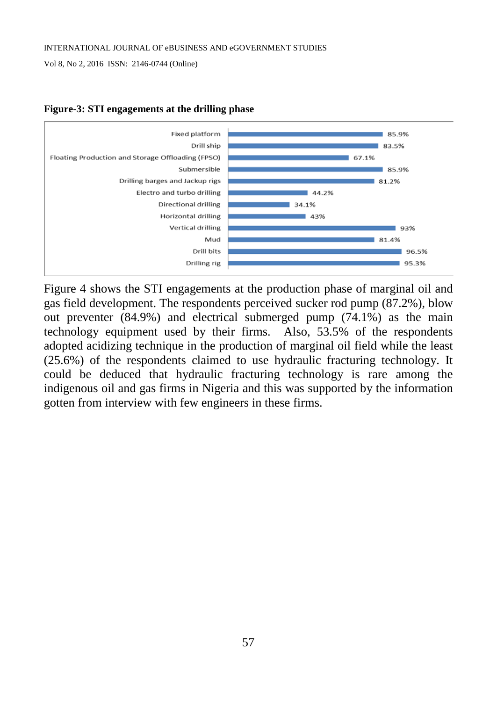#### INTERNATIONAL JOURNAL OF eBUSINESS AND eGOVERNMENT STUDIES

Vol 8, No 2, 2016 ISSN: 2146-0744 (Online)



#### **Figure-3: STI engagements at the drilling phase**

Figure 4 shows the STI engagements at the production phase of marginal oil and gas field development. The respondents perceived sucker rod pump (87.2%), blow out preventer (84.9%) and electrical submerged pump (74.1%) as the main technology equipment used by their firms. Also, 53.5% of the respondents adopted acidizing technique in the production of marginal oil field while the least (25.6%) of the respondents claimed to use hydraulic fracturing technology. It could be deduced that hydraulic fracturing technology is rare among the indigenous oil and gas firms in Nigeria and this was supported by the information gotten from interview with few engineers in these firms.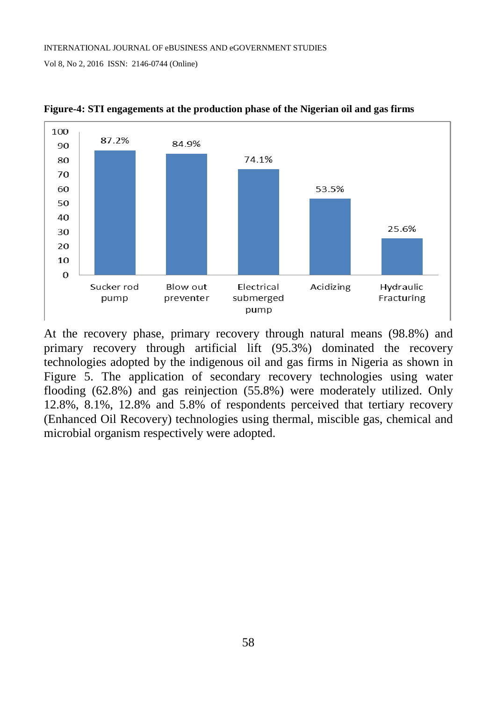

**Figure-4: STI engagements at the production phase of the Nigerian oil and gas firms**

At the recovery phase, primary recovery through natural means (98.8%) and primary recovery through artificial lift (95.3%) dominated the recovery technologies adopted by the indigenous oil and gas firms in Nigeria as shown in Figure 5. The application of secondary recovery technologies using water flooding (62.8%) and gas reinjection (55.8%) were moderately utilized. Only 12.8%, 8.1%, 12.8% and 5.8% of respondents perceived that tertiary recovery (Enhanced Oil Recovery) technologies using thermal, miscible gas, chemical and microbial organism respectively were adopted.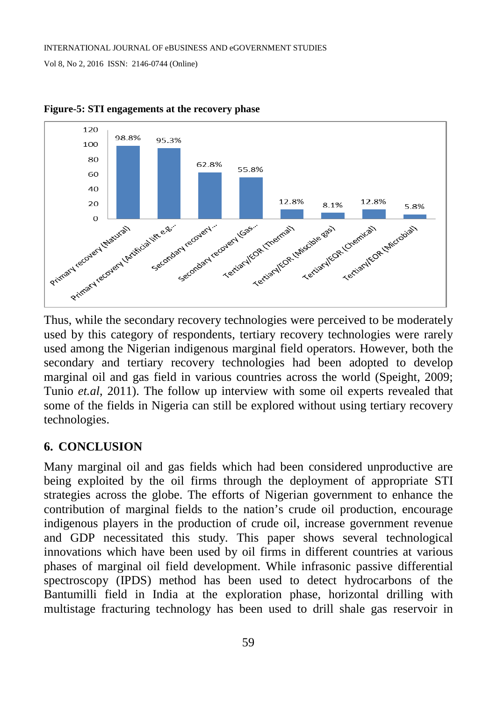

**Figure-5: STI engagements at the recovery phase**

Thus, while the secondary recovery technologies were perceived to be moderately used by this category of respondents, tertiary recovery technologies were rarely used among the Nigerian indigenous marginal field operators. However, both the secondary and tertiary recovery technologies had been adopted to develop marginal oil and gas field in various countries across the world (Speight, 2009; Tunio *et.al*, 2011). The follow up interview with some oil experts revealed that some of the fields in Nigeria can still be explored without using tertiary recovery technologies.

#### **6. CONCLUSION**

Many marginal oil and gas fields which had been considered unproductive are being exploited by the oil firms through the deployment of appropriate STI strategies across the globe. The efforts of Nigerian government to enhance the contribution of marginal fields to the nation's crude oil production, encourage indigenous players in the production of crude oil, increase government revenue and GDP necessitated this study. This paper shows several technological innovations which have been used by oil firms in different countries at various phases of marginal oil field development. While infrasonic passive differential spectroscopy (IPDS) method has been used to detect hydrocarbons of the Bantumilli field in India at the exploration phase, horizontal drilling with multistage fracturing technology has been used to drill shale gas reservoir in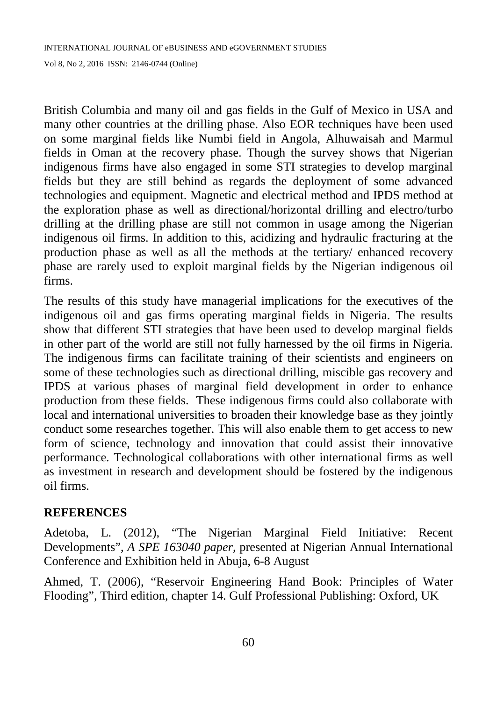British Columbia and many oil and gas fields in the Gulf of Mexico in USA and many other countries at the drilling phase. Also EOR techniques have been used on some marginal fields like Numbi field in Angola, Alhuwaisah and Marmul fields in Oman at the recovery phase. Though the survey shows that Nigerian indigenous firms have also engaged in some STI strategies to develop marginal fields but they are still behind as regards the deployment of some advanced technologies and equipment. Magnetic and electrical method and IPDS method at the exploration phase as well as directional/horizontal drilling and electro/turbo drilling at the drilling phase are still not common in usage among the Nigerian indigenous oil firms. In addition to this, acidizing and hydraulic fracturing at the production phase as well as all the methods at the tertiary/ enhanced recovery phase are rarely used to exploit marginal fields by the Nigerian indigenous oil firms.

The results of this study have managerial implications for the executives of the indigenous oil and gas firms operating marginal fields in Nigeria. The results show that different STI strategies that have been used to develop marginal fields in other part of the world are still not fully harnessed by the oil firms in Nigeria. The indigenous firms can facilitate training of their scientists and engineers on some of these technologies such as directional drilling, miscible gas recovery and IPDS at various phases of marginal field development in order to enhance production from these fields. These indigenous firms could also collaborate with local and international universities to broaden their knowledge base as they jointly conduct some researches together. This will also enable them to get access to new form of science, technology and innovation that could assist their innovative performance. Technological collaborations with other international firms as well as investment in research and development should be fostered by the indigenous oil firms.

#### **REFERENCES**

Adetoba, L. (2012), "The Nigerian Marginal Field Initiative: Recent Developments", *A SPE 163040 paper,* presented at Nigerian Annual International Conference and Exhibition held in Abuja, 6-8 August

Ahmed, T. (2006), "Reservoir Engineering Hand Book: Principles of Water Flooding", Third edition, chapter 14. Gulf Professional Publishing: Oxford, UK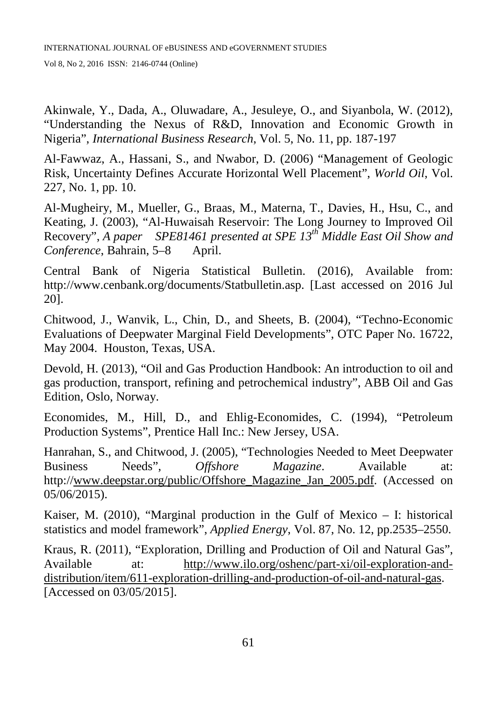Akinwale, Y., Dada, A., Oluwadare, A., Jesuleye, O., and Siyanbola, W. (2012), "Understanding the Nexus of R&D, Innovation and Economic Growth in Nigeria", *International Business Research*, Vol. 5, No. 11, pp. 187-197

Al-Fawwaz, A., Hassani, S., and Nwabor, D. (2006) "Management of Geologic Risk, Uncertainty Defines Accurate Horizontal Well Placement", *World Oil*, Vol. 227, No. 1, pp. 10.

Al-Mugheiry, M., Mueller, G., Braas, M., Materna, T., Davies, H., Hsu, C., and Keating, J. (2003), "Al-Huwaisah Reservoir: The Long Journey to Improved Oil Recovery", *A paper SPE81461 presented at SPE 13th Middle East Oil Show and Conference*, Bahrain, 5–8 April.

Central Bank of Nigeria Statistical Bulletin. (2016), Available from: http://www.cenbank.org/documents/Statbulletin.asp. [Last accessed on 2016 Jul 20].

Chitwood, J., Wanvik, L., Chin, D., and Sheets, B. (2004), "Techno-Economic Evaluations of Deepwater Marginal Field Developments", OTC Paper No. 16722, May 2004. Houston, Texas, USA.

Devold, H. (2013), "Oil and Gas Production Handbook: An introduction to oil and gas production, transport, refining and petrochemical industry", ABB Oil and Gas Edition, Oslo, Norway.

Economides, M., Hill, D., and Ehlig-Economides, C. (1994), "Petroleum Production Systems", Prentice Hall Inc.: New Jersey, USA.

Hanrahan, S., and Chitwood, J. (2005), "Technologies Needed to Meet Deepwater Business Needs", *Offshore Magazine*. Available at: http:/[/www.deepstar.org/public/Offshore\\_Magazine\\_Jan\\_2005.pdf.](http://www.deepstar.org/public/Offshore_Magazine_Jan_2005.pdf) (Accessed on 05/06/2015).

Kaiser, M.  $(2010)$ , "Marginal production in the Gulf of Mexico – I: historical statistics and model framework", *Applied Energy*, Vol. 87, No. 12, pp.2535–2550.

Kraus, R. (2011), "Exploration, Drilling and Production of Oil and Natural Gas", Available at: [http://www.ilo.org/oshenc/part-xi/oil-exploration-and](http://www.ilo.org/oshenc/part-xi/oil-exploration-and-distribution/item/611-exploration-drilling-and-production-of-oil-and-natural-gas)[distribution/item/611-exploration-drilling-and-production-of-oil-and-natural-gas.](http://www.ilo.org/oshenc/part-xi/oil-exploration-and-distribution/item/611-exploration-drilling-and-production-of-oil-and-natural-gas) [Accessed on 03/05/2015].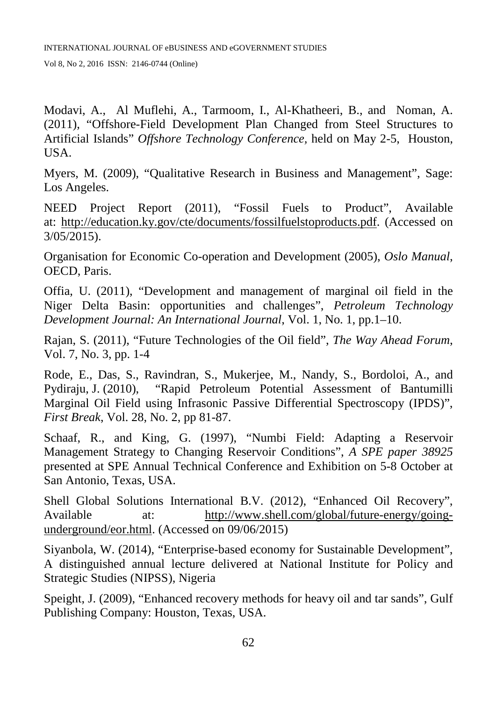Modavi, A., Al Muflehi, A., Tarmoom, I., Al-Khatheeri, B., and Noman, A. (2011), "Offshore-Field Development Plan Changed from Steel Structures to Artificial Islands" *Offshore Technology Conference,* held on May 2-5, Houston, USA.

Myers, M. (2009), "Qualitative Research in Business and Management", Sage: Los Angeles.

NEED Project Report (2011), "Fossil Fuels to Product", Available at: [http://education.ky.gov/cte/documents/fossilfuelstoproducts.pdf.](http://education.ky.gov/cte/documents/fossilfuelstoproducts.pdf) (Accessed on 3/05/2015).

Organisation for Economic Co-operation and Development (2005), *Oslo Manual*, OECD, Paris.

Offia, U. (2011), "Development and management of marginal oil field in the Niger Delta Basin: opportunities and challenges", *Petroleum Technology Development Journal: An International Journal*, Vol. 1, No. 1, pp.1–10.

Rajan, S. (2011), "Future Technologies of the Oil field", *The Way Ahead Forum*, Vol. 7, No. 3, pp. 1-4

Rode, E., Das, S., Ravindran, S., Mukerjee, M., Nandy, S., Bordoloi, A., and Pydiraju, J. (2010), "Rapid Petroleum Potential Assessment of Bantumilli Marginal Oil Field using Infrasonic Passive Differential Spectroscopy (IPDS)", *First Break*, Vol. 28, No. 2, pp 81-87.

Schaaf, R., and King, G. (1997), "Numbi Field: Adapting a Reservoir Management Strategy to Changing Reservoir Conditions", *A SPE paper 38925* presented at SPE Annual Technical Conference and Exhibition on 5-8 October at San Antonio, Texas, USA.

Shell Global Solutions International B.V. (2012), "Enhanced Oil Recovery", Available at: [http://www.shell.com/global/future-energy/going](http://www.shell.com/global/future-energy/going-underground/eor.html)[underground/eor.html.](http://www.shell.com/global/future-energy/going-underground/eor.html) (Accessed on 09/06/2015)

Siyanbola, W. (2014), "Enterprise-based economy for Sustainable Development", A distinguished annual lecture delivered at National Institute for Policy and Strategic Studies (NIPSS), Nigeria

Speight, J. (2009), "Enhanced recovery methods for heavy oil and tar sands", Gulf Publishing Company: Houston, Texas, USA.